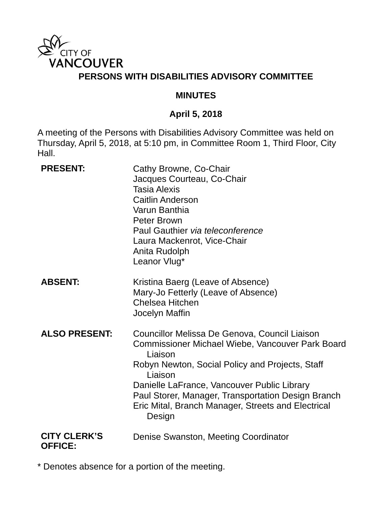

#### **MINUTES**

## **April 5, 2018**

A meeting of the Persons with Disabilities Advisory Committee was held on Thursday, April 5, 2018, at 5:10 pm, in Committee Room 1, Third Floor, City Hall.

| <b>PRESENT:</b>                       | Cathy Browne, Co-Chair<br>Jacques Courteau, Co-Chair<br><b>Tasia Alexis</b><br><b>Caitlin Anderson</b><br>Varun Banthia<br>Peter Brown<br>Paul Gauthier via teleconference<br>Laura Mackenrot, Vice-Chair<br>Anita Rudolph<br>Leanor Vlug*                                                                                                      |
|---------------------------------------|-------------------------------------------------------------------------------------------------------------------------------------------------------------------------------------------------------------------------------------------------------------------------------------------------------------------------------------------------|
| <b>ABSENT:</b>                        | Kristina Baerg (Leave of Absence)<br>Mary-Jo Fetterly (Leave of Absence)<br><b>Chelsea Hitchen</b><br>Jocelyn Maffin                                                                                                                                                                                                                            |
| <b>ALSO PRESENT:</b>                  | Councillor Melissa De Genova, Council Liaison<br>Commissioner Michael Wiebe, Vancouver Park Board<br>Liaison<br>Robyn Newton, Social Policy and Projects, Staff<br>Liaison<br>Danielle LaFrance, Vancouver Public Library<br>Paul Storer, Manager, Transportation Design Branch<br>Eric Mital, Branch Manager, Streets and Electrical<br>Design |
| <b>CITY CLERK'S</b><br><b>OFFICE:</b> | Denise Swanston, Meeting Coordinator                                                                                                                                                                                                                                                                                                            |

\* Denotes absence for a portion of the meeting.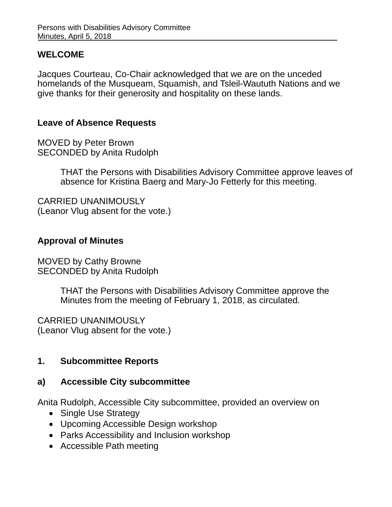#### **WELCOME**

Jacques Courteau, Co-Chair acknowledged that we are on the unceded homelands of the Musqueam, Squamish, and Tsleil-Waututh Nations and we give thanks for their generosity and hospitality on these lands.

## **Leave of Absence Requests**

MOVED by Peter Brown SECONDED by Anita Rudolph

> THAT the Persons with Disabilities Advisory Committee approve leaves of absence for Kristina Baerg and Mary-Jo Fetterly for this meeting.

CARRIED UNANIMOUSLY (Leanor Vlug absent for the vote.)

## **Approval of Minutes**

MOVED by Cathy Browne SECONDED by Anita Rudolph

> THAT the Persons with Disabilities Advisory Committee approve the Minutes from the meeting of February 1, 2018, as circulated.

CARRIED UNANIMOUSLY (Leanor Vlug absent for the vote.)

## **1. Subcommittee Reports**

## **a) Accessible City subcommittee**

Anita Rudolph, Accessible City subcommittee, provided an overview on

- Single Use Strategy
- Upcoming Accessible Design workshop
- Parks Accessibility and Inclusion workshop
- Accessible Path meeting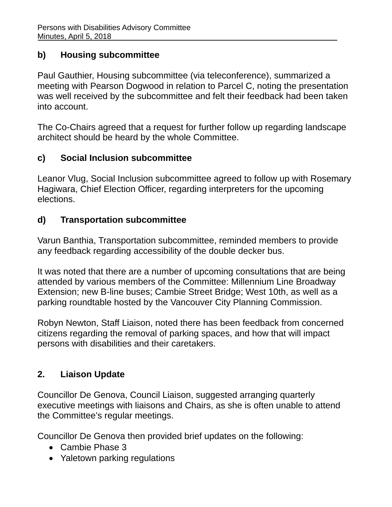# **b) Housing subcommittee**

Paul Gauthier, Housing subcommittee (via teleconference), summarized a meeting with Pearson Dogwood in relation to Parcel C, noting the presentation was well received by the subcommittee and felt their feedback had been taken into account.

The Co-Chairs agreed that a request for further follow up regarding landscape architect should be heard by the whole Committee.

# **c) Social Inclusion subcommittee**

Leanor Vlug, Social Inclusion subcommittee agreed to follow up with Rosemary Hagiwara, Chief Election Officer, regarding interpreters for the upcoming elections.

# **d) Transportation subcommittee**

Varun Banthia, Transportation subcommittee, reminded members to provide any feedback regarding accessibility of the double decker bus.

It was noted that there are a number of upcoming consultations that are being attended by various members of the Committee: Millennium Line Broadway Extension; new B-line buses; Cambie Street Bridge; West 10th, as well as a parking roundtable hosted by the Vancouver City Planning Commission.

Robyn Newton, Staff Liaison, noted there has been feedback from concerned citizens regarding the removal of parking spaces, and how that will impact persons with disabilities and their caretakers.

# **2. Liaison Update**

Councillor De Genova, Council Liaison, suggested arranging quarterly executive meetings with liaisons and Chairs, as she is often unable to attend the Committee's regular meetings.

Councillor De Genova then provided brief updates on the following:

- Cambie Phase 3
- Yaletown parking regulations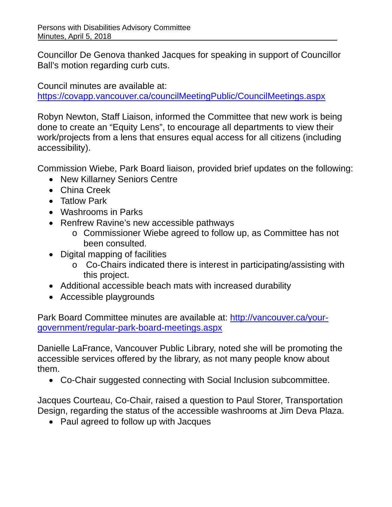Councillor De Genova thanked Jacques for speaking in support of Councillor Ball's motion regarding curb cuts.

Council minutes are available at:

https://covapp.vancouver.ca/councilMeetingPublic/CouncilMeetings.aspx

Robyn Newton, Staff Liaison, informed the Committee that new work is being done to create an "Equity Lens", to encourage all departments to view their work/projects from a lens that ensures equal access for all citizens (including accessibility).

Commission Wiebe, Park Board liaison, provided brief updates on the following:

- New Killarney Seniors Centre
- China Creek
- Tatlow Park
- Washrooms in Parks
- Renfrew Ravine's new accessible pathways
	- o Commissioner Wiebe agreed to follow up, as Committee has not been consulted.
- Digital mapping of facilities
	- o Co-Chairs indicated there is interest in participating/assisting with this project.
- Additional accessible beach mats with increased durability
- Accessible playgrounds

Park Board Committee minutes are available at: http://vancouver.ca/yourgovernment/regular-park-board-meetings.aspx

Danielle LaFrance, Vancouver Public Library, noted she will be promoting the accessible services offered by the library, as not many people know about them.

Co-Chair suggested connecting with Social Inclusion subcommittee.

Jacques Courteau, Co-Chair, raised a question to Paul Storer, Transportation Design, regarding the status of the accessible washrooms at Jim Deva Plaza.

• Paul agreed to follow up with Jacques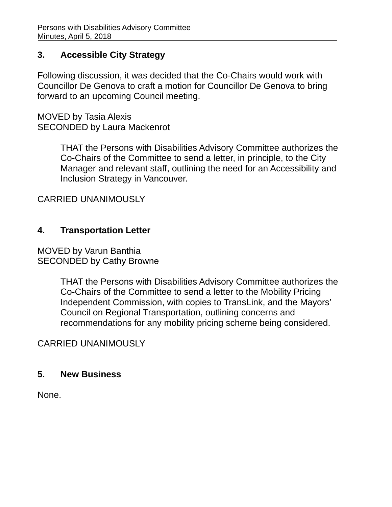## **3. Accessible City Strategy**

Following discussion, it was decided that the Co-Chairs would work with Councillor De Genova to craft a motion for Councillor De Genova to bring forward to an upcoming Council meeting.

MOVED by Tasia Alexis SECONDED by Laura Mackenrot

> THAT the Persons with Disabilities Advisory Committee authorizes the Co-Chairs of the Committee to send a letter, in principle, to the City Manager and relevant staff, outlining the need for an Accessibility and Inclusion Strategy in Vancouver.

CARRIED UNANIMOUSLY

### **4. Transportation Letter**

MOVED by Varun Banthia SECONDED by Cathy Browne

> THAT the Persons with Disabilities Advisory Committee authorizes the Co-Chairs of the Committee to send a letter to the Mobility Pricing Independent Commission, with copies to TransLink, and the Mayors' Council on Regional Transportation, outlining concerns and recommendations for any mobility pricing scheme being considered.

## CARRIED UNANIMOUSLY

#### **5. New Business**

None.